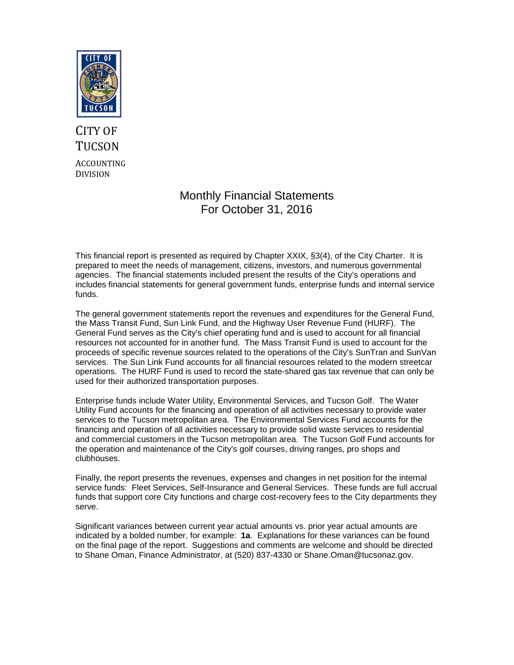

# CITY OF **TUCSON** ACCOUNTING DIVISION

# Monthly Financial Statements For October 31, 2016

This financial report is presented as required by Chapter XXIX, §3(4), of the City Charter. It is prepared to meet the needs of management, citizens, investors, and numerous governmental agencies. The financial statements included present the results of the City's operations and includes financial statements for general government funds, enterprise funds and internal service funds.

The general government statements report the revenues and expenditures for the General Fund, the Mass Transit Fund, Sun Link Fund, and the Highway User Revenue Fund (HURF). The General Fund serves as the City's chief operating fund and is used to account for all financial resources not accounted for in another fund. The Mass Transit Fund is used to account for the proceeds of specific revenue sources related to the operations of the City's SunTran and SunVan services. The Sun Link Fund accounts for all financial resources related to the modern streetcar operations. The HURF Fund is used to record the state-shared gas tax revenue that can only be used for their authorized transportation purposes.

Enterprise funds include Water Utility, Environmental Services, and Tucson Golf. The Water Utility Fund accounts for the financing and operation of all activities necessary to provide water services to the Tucson metropolitan area. The Environmental Services Fund accounts for the financing and operation of all activities necessary to provide solid waste services to residential and commercial customers in the Tucson metropolitan area. The Tucson Golf Fund accounts for the operation and maintenance of the City's golf courses, driving ranges, pro shops and clubhouses.

Finally, the report presents the revenues, expenses and changes in net position for the internal service funds: Fleet Services, Self-Insurance and General Services. These funds are full accrual funds that support core City functions and charge cost-recovery fees to the City departments they serve.

Significant variances between current year actual amounts vs. prior year actual amounts are indicated by a bolded number, for example: **1a**. Explanations for these variances can be found on the final page of the report. Suggestions and comments are welcome and should be directed to Shane Oman, Finance Administrator, at (520) 837-4330 or Shane.Oman@tucsonaz.gov.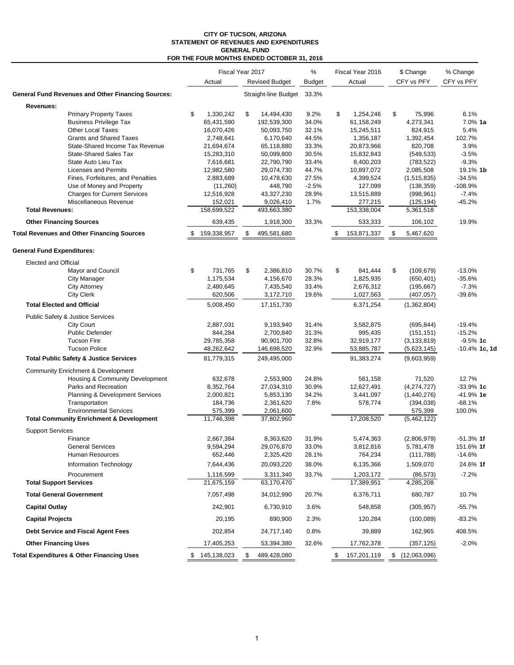#### **CITY OF TUCSON, ARIZONA STATEMENT OF REVENUES AND EXPENDITURES GENERAL FUND FOR THE FOUR MONTHS ENDED OCTOBER 31, 2016**

|                                   |                                                                   |                          | Fiscal Year 2017 |                          | %              | Fiscal Year 2016 |                          | \$ Change |                       | % Change           |
|-----------------------------------|-------------------------------------------------------------------|--------------------------|------------------|--------------------------|----------------|------------------|--------------------------|-----------|-----------------------|--------------------|
|                                   |                                                                   | Actual                   |                  | <b>Revised Budget</b>    | <b>Budget</b>  |                  | Actual                   |           | CFY vs PFY            | CFY vs PFY         |
|                                   | <b>General Fund Revenues and Other Financing Sources:</b>         |                          |                  | Straight-line Budget     | 33.3%          |                  |                          |           |                       |                    |
| Revenues:                         |                                                                   |                          |                  |                          |                |                  |                          |           |                       |                    |
|                                   | <b>Primary Property Taxes</b>                                     | \$<br>1,330,242          | \$               | 14,494,430               | 9.2%           | \$               | 1,254,246                | \$        | 75,996                | 6.1%               |
|                                   | <b>Business Privilege Tax</b>                                     | 65,431,590               |                  | 192,539,300              | 34.0%          |                  | 61,158,249               |           | 4,273,341             | 7.0% 1a            |
|                                   | <b>Other Local Taxes</b>                                          | 16,070,426               |                  | 50,093,750               | 32.1%          |                  | 15,245,511               |           | 824,915               | 5.4%               |
|                                   | <b>Grants and Shared Taxes</b><br>State-Shared Income Tax Revenue | 2,748,641                |                  | 6,170,640                | 44.5%          |                  | 1,356,187                |           | 1,392,454             | 102.7%<br>3.9%     |
|                                   | <b>State-Shared Sales Tax</b>                                     | 21,694,674<br>15,283,310 |                  | 65,118,880<br>50,099,800 | 33.3%<br>30.5% |                  | 20,873,966<br>15,832,843 |           | 820,708<br>(549, 533) | $-3.5%$            |
|                                   | State Auto Lieu Tax                                               | 7,616,681                |                  | 22,790,790               | 33.4%          |                  | 8,400,203                |           | (783, 522)            | $-9.3%$            |
|                                   | <b>Licenses and Permits</b>                                       | 12,982,580               |                  | 29,074,730               | 44.7%          |                  | 10,897,072               |           | 2,085,508             | 19.1% 1b           |
|                                   | Fines, Forfeitures, and Penalties                                 | 2,883,689                |                  | 10,478,630               | 27.5%          |                  | 4,399,524                |           | (1,515,835)           | $-34.5%$           |
|                                   | Use of Money and Property                                         | (11,260)                 |                  | 448,790                  | $-2.5%$        |                  | 127,099                  |           | (138, 359)            | -108.9%            |
|                                   | <b>Charges for Current Services</b>                               | 12,516,928               |                  | 43,327,230               | 28.9%          |                  | 13,515,889               |           | (998, 961)            | $-7.4%$            |
|                                   | Miscellaneous Revenue                                             | 152,021                  |                  | 9,026,410                | 1.7%           |                  | 277,215                  |           | (125, 194)            | $-45.2%$           |
| <b>Total Revenues:</b>            |                                                                   | 158,699,522              |                  | 493,663,380              |                |                  | 153,338,004              |           | 5,361,518             |                    |
|                                   | <b>Other Financing Sources</b>                                    | 639,435                  |                  | 1,918,300                | 33.3%          |                  | 533,333                  |           | 106,102               | 19.9%              |
|                                   | <b>Total Revenues and Other Financing Sources</b>                 | \$<br>159,338,957        | \$               | 495,581,680              |                | \$               | 153,871,337              | \$        | 5,467,620             |                    |
| <b>General Fund Expenditures:</b> |                                                                   |                          |                  |                          |                |                  |                          |           |                       |                    |
| Elected and Official              |                                                                   |                          |                  |                          |                |                  |                          |           |                       |                    |
|                                   | <b>Mayor and Council</b>                                          | \$<br>731,765            | \$               | 2,386,810                | 30.7%          | \$               | 841,444                  | \$        | (109, 679)            | $-13.0%$           |
|                                   | <b>City Manager</b>                                               | 1,175,534                |                  | 4,156,670                | 28.3%          |                  | 1,825,935                |           | (650, 401)            | $-35.6%$           |
|                                   | <b>City Attorney</b>                                              | 2,480,645                |                  | 7,435,540                | 33.4%          |                  | 2,676,312                |           | (195, 667)            | $-7.3%$            |
|                                   | <b>City Clerk</b>                                                 | 620,506                  |                  | 3,172,710                | 19.6%          |                  | 1,027,563                |           | (407, 057)            | $-39.6%$           |
|                                   | <b>Total Elected and Official</b>                                 | 5,008,450                |                  | 17, 151, 730             |                |                  | 6,371,254                |           | (1,362,804)           |                    |
|                                   | Public Safety & Justice Services                                  |                          |                  |                          |                |                  |                          |           |                       |                    |
|                                   | <b>City Court</b>                                                 | 2,887,031                |                  | 9,193,940                | 31.4%          |                  | 3,582,875                |           | (695, 844)            | $-19.4%$           |
|                                   | <b>Public Defender</b>                                            | 844,284                  |                  | 2,700,840                | 31.3%          |                  | 995,435                  |           | (151, 151)            | $-15.2%$           |
|                                   | <b>Tucson Fire</b>                                                | 29,785,358               |                  | 90,901,700               | 32.8%          |                  | 32,919,177               |           | (3, 133, 819)         | $-9.5%$ 1c         |
|                                   | <b>Tucson Police</b>                                              | 48,262,642               |                  | 146,698,520              | 32.9%          |                  | 53,885,787               |           | (5,623,145)           | -10.4% 1c, 1c      |
|                                   | <b>Total Public Safety &amp; Justice Services</b>                 | 81,779,315               |                  | 249,495,000              |                |                  | 91,383,274               |           | (9,603,959)           |                    |
|                                   | <b>Community Enrichment &amp; Development</b>                     |                          |                  |                          |                |                  |                          |           |                       |                    |
|                                   | Housing & Community Development                                   | 632,678                  |                  | 2,553,900                | 24.8%          |                  | 561,158                  |           | 71,520                | 12.7%              |
|                                   | Parks and Recreation                                              | 8,352,764                |                  | 27,034,310               | 30.9%          |                  | 12,627,491               |           | (4,274,727)           | $-33.9%$ 1c        |
|                                   | Planning & Development Services                                   | 2,000,821                |                  | 5,853,130                | 34.2%          |                  | 3,441,097                |           | (1,440,276)           | -41.9% 1e          |
|                                   | Transportation<br><b>Environmental Services</b>                   | 184,736<br>575,399       |                  | 2,361,620<br>2,061,600   | 7.8%           |                  | 578,774                  |           | (394, 038)<br>575,399 | $-68.1%$<br>100.0% |
|                                   | <b>Total Community Enrichment &amp; Development</b>               | 11,746,398               |                  | 37,802,960               |                |                  | 17,208,520               |           | (5,462,122)           |                    |
| <b>Support Services</b>           |                                                                   |                          |                  |                          |                |                  |                          |           |                       |                    |
|                                   | Finance                                                           | 2,667,384                |                  | 8,363,620                | 31.9%          |                  | 5,474,363                |           | (2,806,979)           | $-51.3\%$ 1f       |
|                                   | <b>General Services</b>                                           | 9,594,294                |                  | 29,076,870               | 33.0%          |                  | 3,812,816                |           | 5,781,478             | 151.6% 1f          |
|                                   | Human Resources                                                   | 652,446                  |                  | 2,325,420                | 28.1%          |                  | 764,234                  |           | (111, 788)            | $-14.6%$           |
|                                   | <b>Information Technology</b>                                     | 7,644,436                |                  | 20,093,220               | 38.0%          |                  | 6,135,366                |           | 1,509,070             | 24.6% 1f           |
|                                   | Procurement                                                       | 1,116,599                |                  | 3,311,340                | 33.7%          |                  | 1,203,172                |           | (86, 573)             | $-7.2%$            |
| <b>Total Support Services</b>     |                                                                   | 21,675,159               |                  | 63,170,470               |                |                  | 17,389,951               |           | 4,285,208             |                    |
|                                   | <b>Total General Government</b>                                   | 7,057,498                |                  | 34,012,990               | 20.7%          |                  | 6,376,711                |           | 680,787               | 10.7%              |
| <b>Capital Outlay</b>             |                                                                   | 242,901                  |                  | 6,730,910                | 3.6%           |                  | 548,858                  |           | (305, 957)            | $-55.7%$           |
| <b>Capital Projects</b>           |                                                                   | 20,195                   |                  | 890,900                  | 2.3%           |                  | 120,284                  |           | (100, 089)            | $-83.2%$           |
|                                   | Debt Service and Fiscal Agent Fees                                | 202,854                  |                  | 24,717,140               | 0.8%           |                  | 39,889                   |           | 162,965               | 408.5%             |
| <b>Other Financing Uses</b>       |                                                                   | 17,405,253               |                  | 53,394,380               | 32.6%          |                  | 17,762,378               |           | (357, 125)            | $-2.0%$            |
|                                   | <b>Total Expenditures &amp; Other Financing Uses</b>              | \$145,138,023            | \$               | 489,428,080              |                | \$               | 157,201,119              |           | \$(12,063,096)        |                    |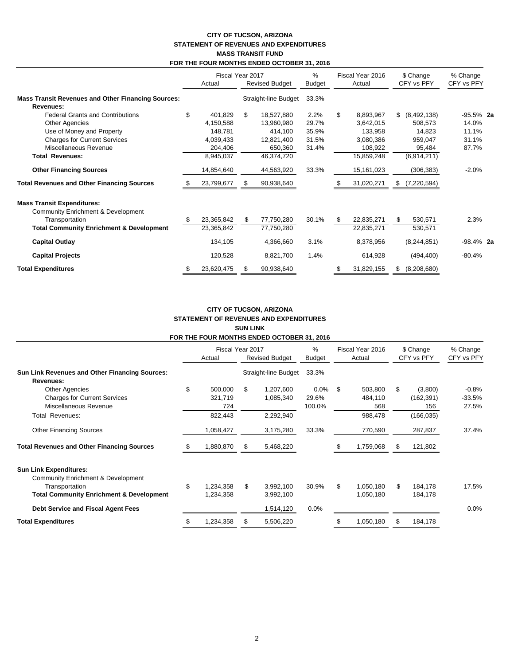## **CITY OF TUCSON, ARIZONA STATEMENT OF REVENUES AND EXPENDITURES MASS TRANSIT FUND FOR THE FOUR MONTHS ENDED OCTOBER 31, 2016**

|                                                                               |    | Fiscal Year 2017 |                      |                       | $\%$   |     | Fiscal Year 2016 |    | \$ Change     | % Change     |  |
|-------------------------------------------------------------------------------|----|------------------|----------------------|-----------------------|--------|-----|------------------|----|---------------|--------------|--|
|                                                                               |    | Actual           |                      | <b>Revised Budget</b> | Budget |     | Actual           |    | CFY vs PFY    | CFY vs PFY   |  |
| <b>Mass Transit Revenues and Other Financing Sources:</b><br><b>Revenues:</b> |    |                  | Straight-line Budget |                       | 33.3%  |     |                  |    |               |              |  |
| <b>Federal Grants and Contributions</b>                                       | \$ | 401,829          | \$                   | 18,527,880            | 2.2%   | \$  | 8,893,967        | \$ | (8, 492, 138) | $-95.5\%$ 2a |  |
| Other Agencies                                                                |    | 4,150,588        |                      | 13,960,980            | 29.7%  |     | 3,642,015        |    | 508,573       | 14.0%        |  |
| Use of Money and Property                                                     |    | 148,781          |                      | 414,100               | 35.9%  |     | 133,958          |    | 14,823        | 11.1%        |  |
| <b>Charges for Current Services</b>                                           |    | 4,039,433        |                      | 12,821,400            | 31.5%  |     | 3,080,386        |    | 959,047       | 31.1%        |  |
| Miscellaneous Revenue                                                         |    | 204,406          |                      | 650,360               | 31.4%  |     | 108,922          |    | 95,484        | 87.7%        |  |
| <b>Total Revenues:</b>                                                        |    | 8,945,037        |                      | 46,374,720            |        |     | 15,859,248       |    | (6,914,211)   |              |  |
| <b>Other Financing Sources</b>                                                |    | 14,854,640       |                      | 44,563,920            | 33.3%  |     | 15,161,023       |    | (306, 383)    | $-2.0%$      |  |
| <b>Total Revenues and Other Financing Sources</b>                             |    | 23,799,677       |                      | 90,938,640            |        |     | 31,020,271       | S  | (7, 220, 594) |              |  |
| <b>Mass Transit Expenditures:</b>                                             |    |                  |                      |                       |        |     |                  |    |               |              |  |
| <b>Community Enrichment &amp; Development</b>                                 |    |                  |                      |                       |        |     |                  |    |               |              |  |
| Transportation                                                                | S  | 23,365,842       | \$                   | 77,750,280            | 30.1%  | \$. | 22,835,271       | \$ | 530,571       | 2.3%         |  |
| <b>Total Community Enrichment &amp; Development</b>                           |    | 23,365,842       |                      | 77,750,280            |        |     | 22,835,271       |    | 530,571       |              |  |
| <b>Capital Outlay</b>                                                         |    | 134,105          |                      | 4,366,660             | 3.1%   |     | 8,378,956        |    | (8, 244, 851) | $-98.4\%$ 2a |  |
| <b>Capital Projects</b>                                                       |    | 120,528          |                      | 8,821,700             | 1.4%   |     | 614,928          |    | (494, 400)    | $-80.4%$     |  |
| <b>Total Expenditures</b>                                                     | S  | 23,620,475       | S.                   | 90,938,640            |        | \$  | 31,829,155       | \$ | (8,208,680)   |              |  |

## **CITY OF TUCSON, ARIZONA STATEMENT OF REVENUES AND EXPENDITURES SUN LINK FOR THE FOUR MONTHS ENDED OCTOBER 31, 2016**

|                                                                                       |    | Actual                    | Fiscal Year 2017<br><b>Revised Budget</b> |                        | %<br><b>Budget</b>         |     | Fiscal Year 2016<br>Actual | \$ Change<br>CFY vs PFY |                              | % Change<br>CFY vs PFY       |  |
|---------------------------------------------------------------------------------------|----|---------------------------|-------------------------------------------|------------------------|----------------------------|-----|----------------------------|-------------------------|------------------------------|------------------------------|--|
| <b>Sun Link Revenues and Other Financing Sources:</b><br>Revenues:                    |    |                           | Straight-line Budget                      |                        | 33.3%                      |     |                            |                         |                              |                              |  |
| <b>Other Agencies</b><br><b>Charges for Current Services</b><br>Miscellaneous Revenue | \$ | 500,000<br>321,719<br>724 | \$.                                       | 1,207,600<br>1,085,340 | $0.0\%$<br>29.6%<br>100.0% | -S  | 503,800<br>484,110<br>568  | \$.                     | (3,800)<br>(162, 391)<br>156 | $-0.8%$<br>$-33.5%$<br>27.5% |  |
| Total Revenues:                                                                       |    | 822,443                   |                                           | 2,292,940              |                            |     | 988,478                    |                         | (166, 035)                   |                              |  |
| <b>Other Financing Sources</b>                                                        |    | 1,058,427                 |                                           | 3,175,280              | 33.3%                      |     | 770,590                    |                         | 287,837                      | 37.4%                        |  |
| <b>Total Revenues and Other Financing Sources</b>                                     |    | 1,880,870                 |                                           | 5,468,220              |                            |     | 1,759,068                  |                         | 121,802                      |                              |  |
| <b>Sun Link Expenditures:</b><br><b>Community Enrichment &amp; Development</b>        |    |                           |                                           |                        |                            |     |                            |                         |                              |                              |  |
| Transportation<br><b>Total Community Enrichment &amp; Development</b>                 |    | 1,234,358<br>1,234,358    |                                           | 3,992,100<br>3,992,100 | 30.9%                      | \$. | 1,050,180<br>1,050,180     | S                       | 184,178<br>184,178           | 17.5%                        |  |
| Debt Service and Fiscal Agent Fees                                                    |    |                           |                                           | 1,514,120              | 0.0%                       |     |                            |                         |                              | 0.0%                         |  |
| <b>Total Expenditures</b>                                                             | æ. | 1,234,358                 |                                           | 5,506,220              |                            |     | 1,050,180                  | S                       | 184,178                      |                              |  |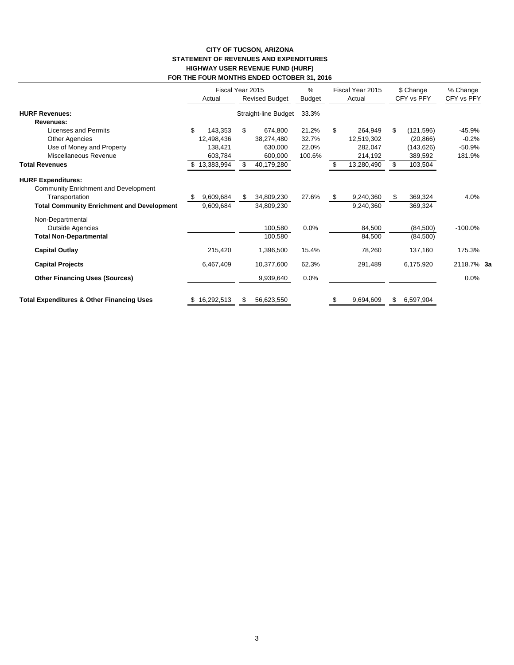# **CITY OF TUCSON, ARIZONA STATEMENT OF REVENUES AND EXPENDITURES HIGHWAY USER REVENUE FUND (HURF) FOR THE FOUR MONTHS ENDED OCTOBER 31, 2016**

|                                                      | Actual         | Fiscal Year 2015<br><b>Revised Budget</b> |                      | %<br>Budget | Fiscal Year 2015<br>Actual | \$ Change<br>CFY vs PFY | % Change<br>CFY vs PFY |  |
|------------------------------------------------------|----------------|-------------------------------------------|----------------------|-------------|----------------------------|-------------------------|------------------------|--|
| <b>HURF Revenues:</b>                                |                |                                           | Straight-line Budget | 33.3%       |                            |                         |                        |  |
| Revenues:                                            |                |                                           |                      |             |                            |                         |                        |  |
| Licenses and Permits                                 | \$<br>143,353  | \$                                        | 674,800              | 21.2%       | \$<br>264,949              | \$<br>(121, 596)        | $-45.9%$               |  |
| <b>Other Agencies</b>                                | 12,498,436     |                                           | 38,274,480           | 32.7%       | 12,519,302                 | (20, 866)               | $-0.2%$                |  |
| Use of Money and Property                            | 138,421        |                                           | 630,000              | 22.0%       | 282,047                    | (143, 626)              | $-50.9%$               |  |
| Miscellaneous Revenue                                | 603,784        |                                           | 600,000              | 100.6%      | 214,192                    | 389,592                 | 181.9%                 |  |
| <b>Total Revenues</b>                                | 13,383,994     |                                           | 40,179,280           |             | 13,280,490                 | \$<br>103,504           |                        |  |
| <b>HURF Expenditures:</b>                            |                |                                           |                      |             |                            |                         |                        |  |
| <b>Community Enrichment and Development</b>          |                |                                           |                      |             |                            |                         |                        |  |
| Transportation                                       | 9,609,684<br>S | \$.                                       | 34,809,230           | 27.6%       | \$<br>9,240,360            | \$<br>369,324           | 4.0%                   |  |
| <b>Total Community Enrichment and Development</b>    | 9,609,684      |                                           | 34,809,230           |             | 9,240,360                  | 369,324                 |                        |  |
| Non-Departmental                                     |                |                                           |                      |             |                            |                         |                        |  |
| <b>Outside Agencies</b>                              |                |                                           | 100,580              | 0.0%        | 84,500                     | (84, 500)               | $-100.0%$              |  |
| <b>Total Non-Departmental</b>                        |                |                                           | 100,580              |             | 84,500                     | (84, 500)               |                        |  |
| <b>Capital Outlay</b>                                | 215,420        |                                           | 1,396,500            | 15.4%       | 78,260                     | 137,160                 | 175.3%                 |  |
| <b>Capital Projects</b>                              | 6,467,409      |                                           | 10,377,600           | 62.3%       | 291,489                    | 6,175,920               | 2118.7% 3a             |  |
| <b>Other Financing Uses (Sources)</b>                |                |                                           | 9,939,640            | 0.0%        |                            |                         | 0.0%                   |  |
| <b>Total Expenditures &amp; Other Financing Uses</b> | \$16,292,513   | S                                         | 56,623,550           |             | \$<br>9,694,609            | \$<br>6,597,904         |                        |  |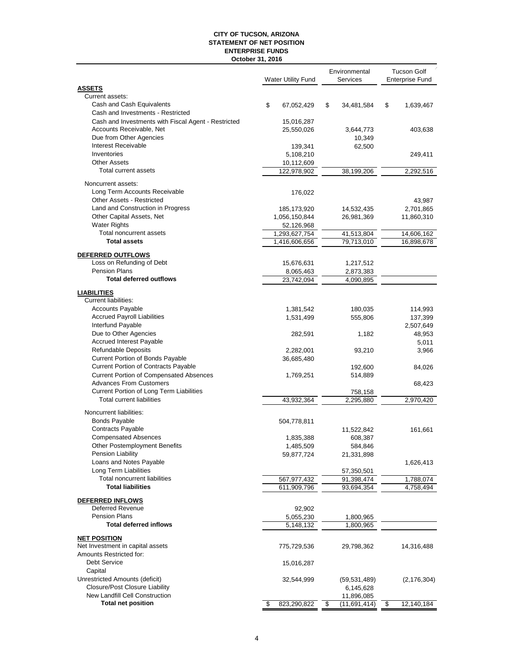### **CITY OF TUCSON, ARIZONA STATEMENT OF NET POSITION October 31, 2016 ENTERPRISE FUNDS**

|                                                                                  | <b>Water Utility Fund</b> | Environmental<br>Services | <b>Tucson Golf</b><br><b>Enterprise Fund</b> |               |
|----------------------------------------------------------------------------------|---------------------------|---------------------------|----------------------------------------------|---------------|
| <b>ASSETS</b>                                                                    |                           |                           |                                              |               |
| Current assets:                                                                  |                           |                           |                                              |               |
| Cash and Cash Equivalents<br>Cash and Investments - Restricted                   | \$<br>67,052,429          | \$<br>34,481,584          | \$                                           | 1,639,467     |
| Cash and Investments with Fiscal Agent - Restricted                              |                           |                           |                                              |               |
| Accounts Receivable, Net                                                         | 15,016,287<br>25,550,026  | 3,644,773                 |                                              | 403,638       |
| Due from Other Agencies                                                          |                           | 10,349                    |                                              |               |
| Interest Receivable                                                              | 139,341                   | 62,500                    |                                              |               |
| Inventories                                                                      | 5,108,210                 |                           |                                              | 249,411       |
| <b>Other Assets</b>                                                              | 10,112,609                |                           |                                              |               |
| Total current assets                                                             | 122,978,902               | 38,199,206                |                                              | 2,292,516     |
| Noncurrent assets:                                                               |                           |                           |                                              |               |
| Long Term Accounts Receivable                                                    | 176,022                   |                           |                                              |               |
| Other Assets - Restricted                                                        |                           |                           |                                              | 43,987        |
| Land and Construction in Progress                                                | 185, 173, 920             | 14,532,435                |                                              | 2,701,865     |
| Other Capital Assets, Net                                                        | 1,056,150,844             | 26,981,369                |                                              | 11,860,310    |
| <b>Water Rights</b>                                                              | 52,126,968                |                           |                                              |               |
| <b>Total noncurrent assets</b>                                                   | 1,293,627,754             | 41,513,804                |                                              | 14,606,162    |
| <b>Total assets</b>                                                              | 1,416,606,656             | 79,713,010                |                                              | 16,898,678    |
| DEFERRED OUTFLOWS                                                                |                           |                           |                                              |               |
| Loss on Refunding of Debt                                                        | 15,676,631                | 1,217,512                 |                                              |               |
| Pension Plans                                                                    | 8,065,463                 | 2,873,383                 |                                              |               |
| <b>Total deferred outflows</b>                                                   | 23,742,094                | 4,090,895                 |                                              |               |
| <b>LIABILITIES</b>                                                               |                           |                           |                                              |               |
| Current liabilities:                                                             |                           |                           |                                              |               |
| <b>Accounts Payable</b>                                                          | 1,381,542                 | 180,035                   |                                              | 114,993       |
| <b>Accrued Payroll Liabilities</b>                                               | 1,531,499                 | 555,806                   |                                              | 137,399       |
| Interfund Payable                                                                |                           |                           |                                              | 2,507,649     |
| Due to Other Agencies                                                            | 282,591                   | 1,182                     |                                              | 48,953        |
| <b>Accrued Interest Payable</b>                                                  |                           |                           |                                              | 5,011         |
| <b>Refundable Deposits</b>                                                       | 2,282,001                 | 93,210                    |                                              | 3,966         |
| Current Portion of Bonds Payable                                                 | 36,685,480                |                           |                                              |               |
| Current Portion of Contracts Payable                                             |                           | 192,600                   |                                              | 84,026        |
| <b>Current Portion of Compensated Absences</b><br><b>Advances From Customers</b> | 1,769,251                 | 514,889                   |                                              |               |
| Current Portion of Long Term Liabilities                                         |                           |                           |                                              | 68,423        |
| <b>Total current liabilities</b>                                                 | 43,932,364                | 758,158<br>2,295,880      |                                              | 2,970,420     |
|                                                                                  |                           |                           |                                              |               |
| Noncurrent liabilities:<br><b>Bonds Payable</b>                                  |                           |                           |                                              |               |
| Contracts Payable                                                                | 504,778,811               |                           |                                              |               |
| <b>Compensated Absences</b>                                                      | 1,835,388                 | 11,522,842<br>608,387     |                                              | 161,661       |
| Other Postemployment Benefits                                                    | 1,485,509                 | 584,846                   |                                              |               |
| <b>Pension Liability</b>                                                         | 59,877,724                | 21,331,898                |                                              |               |
| Loans and Notes Payable                                                          |                           |                           |                                              | 1,626,413     |
| Long Term Liabilities                                                            |                           | 57,350,501                |                                              |               |
| Total noncurrent liabilities                                                     | 567,977,432               | 91,398,474                |                                              | 1,788,074     |
| <b>Total liabilities</b>                                                         | 611,909,796               | 93,694,354                |                                              | 4,758,494     |
| DEFERRED INFLOWS                                                                 |                           |                           |                                              |               |
| <b>Deferred Revenue</b>                                                          | 92,902                    |                           |                                              |               |
| <b>Pension Plans</b>                                                             | 5,055,230                 | 1,800,965                 |                                              |               |
| <b>Total deferred inflows</b>                                                    | 5,148,132                 | 1,800,965                 |                                              |               |
| <b>NET POSITION</b>                                                              |                           |                           |                                              |               |
| Net Investment in capital assets                                                 | 775,729,536               | 29,798,362                |                                              | 14,316,488    |
| Amounts Restricted for:                                                          |                           |                           |                                              |               |
| Debt Service                                                                     | 15,016,287                |                           |                                              |               |
| Capital                                                                          |                           |                           |                                              |               |
| Unrestricted Amounts (deficit)                                                   | 32,544,999                | (59,531,489)              |                                              | (2, 176, 304) |
| <b>Closure/Post Closure Liability</b>                                            |                           | 6,145,628                 |                                              |               |
| <b>New Landfill Cell Construction</b>                                            |                           | 11,896,085                |                                              |               |
| <b>Total net position</b>                                                        | \$<br>823,290,822         | \$<br>(11,691,414)        | \$                                           | 12,140,184    |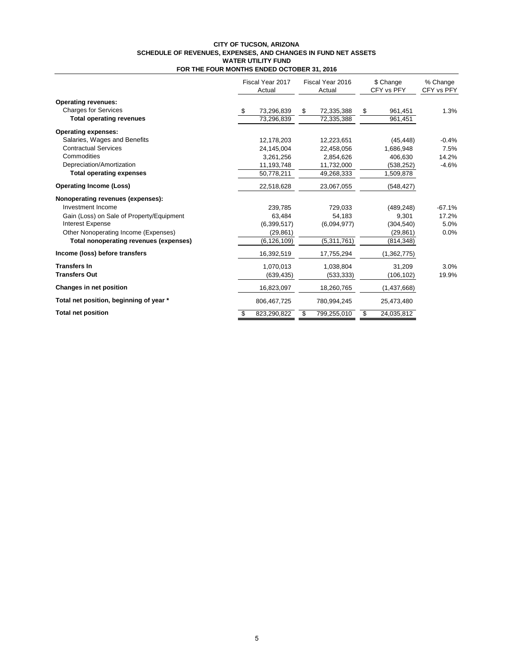#### **CITY OF TUCSON, ARIZONA SCHEDULE OF REVENUES, EXPENSES, AND CHANGES IN FUND NET ASSETS FOR THE FOUR MONTHS ENDED OCTOBER 31, 2016 WATER UTILITY FUND**

|                                           | Fiscal Year 2017<br>Fiscal Year 2016<br>Actual<br>Actual |                   | \$ Change<br>CFY vs PFY | % Change<br>CFY vs PFY |
|-------------------------------------------|----------------------------------------------------------|-------------------|-------------------------|------------------------|
| <b>Operating revenues:</b>                |                                                          |                   |                         |                        |
| <b>Charges for Services</b>               | \$<br>73,296,839                                         | \$<br>72,335,388  | \$<br>961,451           | 1.3%                   |
| <b>Total operating revenues</b>           | 73,296,839                                               | 72,335,388        | 961,451                 |                        |
| <b>Operating expenses:</b>                |                                                          |                   |                         |                        |
| Salaries, Wages and Benefits              | 12,178,203                                               | 12,223,651        | (45, 448)               | $-0.4%$                |
| <b>Contractual Services</b>               | 24,145,004                                               | 22,458,056        | 1,686,948               | 7.5%                   |
| Commodities                               | 3,261,256                                                | 2,854,626         | 406,630                 | 14.2%                  |
| Depreciation/Amortization                 | 11,193,748                                               | 11,732,000        | (538, 252)              | $-4.6%$                |
| <b>Total operating expenses</b>           | 50,778,211                                               | 49,268,333        | 1,509,878               |                        |
| <b>Operating Income (Loss)</b>            | 22,518,628                                               | 23,067,055        | (548, 427)              |                        |
| Nonoperating revenues (expenses):         |                                                          |                   |                         |                        |
| Investment Income                         | 239,785                                                  | 729,033           | (489, 248)              | $-67.1%$               |
| Gain (Loss) on Sale of Property/Equipment | 63,484                                                   | 54,183            | 9,301                   | 17.2%                  |
| <b>Interest Expense</b>                   | (6,399,517)                                              | (6.094.977)       | (304, 540)              | 5.0%                   |
| Other Nonoperating Income (Expenses)      | (29, 861)                                                |                   | (29, 861)               | 0.0%                   |
| Total nonoperating revenues (expenses)    | (6, 126, 109)                                            | (5,311,761)       | (814, 348)              |                        |
| Income (loss) before transfers            | 16,392,519                                               | 17,755,294        | (1,362,775)             |                        |
| <b>Transfers In</b>                       | 1,070,013                                                | 1,038,804         | 31,209                  | 3.0%                   |
| <b>Transfers Out</b>                      | (639, 435)                                               | (533, 333)        | (106, 102)              | 19.9%                  |
| Changes in net position                   | 16,823,097                                               | 18,260,765        | (1,437,668)             |                        |
| Total net position, beginning of year *   | 806,467,725                                              | 780,994,245       | 25,473,480              |                        |
| <b>Total net position</b>                 | 823,290,822<br>\$                                        | 799,255,010<br>\$ | 24,035,812<br>\$        |                        |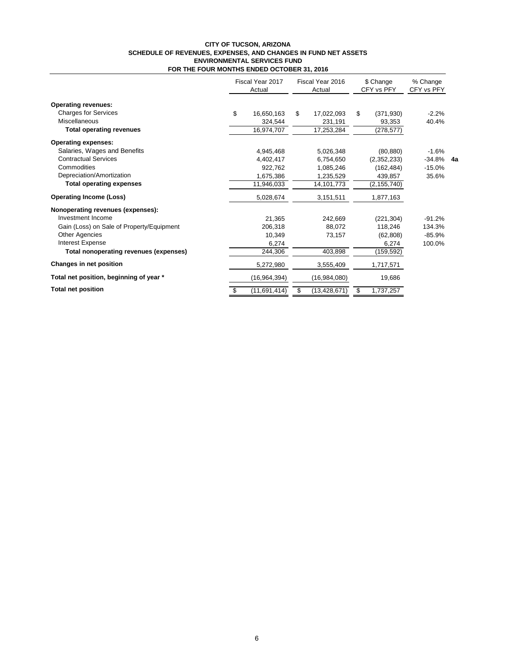#### **CITY OF TUCSON, ARIZONA SCHEDULE OF REVENUES, EXPENSES, AND CHANGES IN FUND NET ASSETS FOR THE FOUR MONTHS ENDED OCTOBER 31, 2016 ENVIRONMENTAL SERVICES FUND**

|                                           |    | Fiscal Year 2017<br>Actual |    | Fiscal Year 2016<br>Actual | \$ Change<br>CFY vs PFY | % Change<br>CFY vs PFY |    |
|-------------------------------------------|----|----------------------------|----|----------------------------|-------------------------|------------------------|----|
| <b>Operating revenues:</b>                |    |                            |    |                            |                         |                        |    |
| <b>Charges for Services</b>               | \$ | 16,650,163                 | \$ | 17,022,093                 | \$<br>(371, 930)        | $-2.2%$                |    |
| Miscellaneous                             |    | 324.544                    |    | 231,191                    | 93.353                  | 40.4%                  |    |
| <b>Total operating revenues</b>           |    | 16,974,707                 |    | 17,253,284                 | (278, 577)              |                        |    |
| <b>Operating expenses:</b>                |    |                            |    |                            |                         |                        |    |
| Salaries, Wages and Benefits              |    | 4,945,468                  |    | 5,026,348                  | (80, 880)               | $-1.6%$                |    |
| <b>Contractual Services</b>               |    | 4,402,417                  |    | 6,754,650                  | (2,352,233)             | -34.8%                 | 4a |
| Commodities                               |    | 922,762                    |    | 1,085,246                  | (162, 484)              | $-15.0%$               |    |
| Depreciation/Amortization                 |    | 1,675,386                  |    | 1,235,529                  | 439,857                 | 35.6%                  |    |
| <b>Total operating expenses</b>           |    | 11,946,033                 |    | 14,101,773                 | (2, 155, 740)           |                        |    |
| <b>Operating Income (Loss)</b>            |    | 5,028,674                  |    | 3,151,511                  | 1,877,163               |                        |    |
| Nonoperating revenues (expenses):         |    |                            |    |                            |                         |                        |    |
| Investment Income                         |    | 21.365                     |    | 242,669                    | (221, 304)              | $-91.2%$               |    |
| Gain (Loss) on Sale of Property/Equipment |    | 206,318                    |    | 88,072                     | 118,246                 | 134.3%                 |    |
| Other Agencies                            |    | 10,349                     |    | 73,157                     | (62, 808)               | $-85.9%$               |    |
| <b>Interest Expense</b>                   |    | 6,274                      |    |                            | 6,274                   | 100.0%                 |    |
| Total nonoperating revenues (expenses)    |    | 244,306                    |    | 403,898                    | (159, 592)              |                        |    |
| Changes in net position                   |    | 5,272,980                  |    | 3,555,409                  | 1,717,571               |                        |    |
| Total net position, beginning of year *   |    | (16, 964, 394)             |    | (16,984,080)               | 19,686                  |                        |    |
| <b>Total net position</b>                 |    | (11,691,414)               | S  | (13, 428, 671)             | \$<br>1,737,257         |                        |    |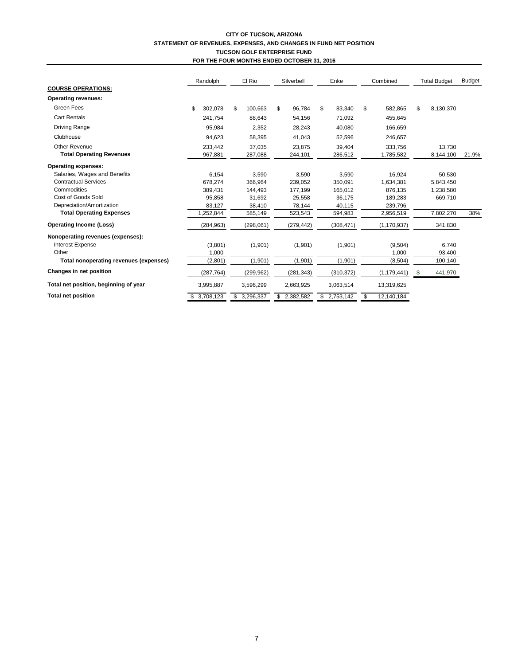## **CITY OF TUCSON, ARIZONA STATEMENT OF REVENUES, EXPENSES, AND CHANGES IN FUND NET POSITION TUCSON GOLF ENTERPRISE FUND FOR THE FOUR MONTHS ENDED OCTOBER 31, 2016**

| Green Fees<br>\$<br>302.078<br>100,663<br>96,784<br>\$<br>83,340<br>582,865<br>8,130,370<br>\$<br>\$<br>\$<br>\$<br><b>Cart Rentals</b><br>241,754<br>88,643<br>54,156<br>71,092<br>455,645<br><b>Driving Range</b><br>95,984<br>2,352<br>28,243<br>40,080<br>166,659<br>Clubhouse<br>41,043<br>94,623<br>58,395<br>52,596<br>246,657<br><b>Other Revenue</b><br>37,035<br>13,730<br>233,442<br>23,875<br>39,404<br>333,756<br><b>Total Operating Revenues</b><br>244,101<br>21.9%<br>967,881<br>287,088<br>286,512<br>1,785,582<br>8,144,100<br>Salaries, Wages and Benefits<br>6,154<br>3,590<br>3,590<br>3,590<br>16,924<br>50,530<br><b>Contractual Services</b><br>366,964<br>678,274<br>239,052<br>350,091<br>1,634,381<br>5,843,450<br>Commodities<br>389,431<br>144,493<br>177,199<br>165,012<br>876.135<br>1,238,580<br>Cost of Goods Sold<br>31,692<br>25,558<br>669,710<br>95,858<br>36,175<br>189,283<br>Depreciation/Amortization<br>38,410<br>78,144<br>83,127<br>40,115<br>239,796<br><b>Total Operating Expenses</b><br>7,802,270<br>1,252,844<br>585,149<br>523,543<br>2,956,519<br>38%<br>594,983<br>(284, 963)<br>(298,061)<br>(308, 471)<br>(1, 170, 937)<br>(279, 442)<br>341,830<br><b>Interest Expense</b><br>(1,901)<br>(1,901)<br>6,740<br>(3,801)<br>(1,901)<br>(9,504)<br>Other<br>1,000<br>1,000<br>93,400<br>(1,901)<br>(1,901)<br>(1,901)<br>Total nonoperating revenues (expenses)<br>(2, 801)<br>100,140<br>(8,504)<br>(287, 764)<br>(281, 343)<br>(310, 372)<br>441,970<br>(299, 962)<br>(1, 179, 441)<br>\$<br>3,995,887<br>3,596,299<br>2,663,925<br>3,063,514<br>13,319,625<br>\$3,708,123<br>3,296,337<br>2,382,582<br>2,753,142<br>12,140,184<br>\$<br>\$ |                                       |  | Randolph |  | El Rio |  | Silverbell |  | Enke |  | Combined |  | <b>Total Budget</b> | <b>Budget</b> |
|-------------------------------------------------------------------------------------------------------------------------------------------------------------------------------------------------------------------------------------------------------------------------------------------------------------------------------------------------------------------------------------------------------------------------------------------------------------------------------------------------------------------------------------------------------------------------------------------------------------------------------------------------------------------------------------------------------------------------------------------------------------------------------------------------------------------------------------------------------------------------------------------------------------------------------------------------------------------------------------------------------------------------------------------------------------------------------------------------------------------------------------------------------------------------------------------------------------------------------------------------------------------------------------------------------------------------------------------------------------------------------------------------------------------------------------------------------------------------------------------------------------------------------------------------------------------------------------------------------------------------------------------------------------------------------------------------|---------------------------------------|--|----------|--|--------|--|------------|--|------|--|----------|--|---------------------|---------------|
|                                                                                                                                                                                                                                                                                                                                                                                                                                                                                                                                                                                                                                                                                                                                                                                                                                                                                                                                                                                                                                                                                                                                                                                                                                                                                                                                                                                                                                                                                                                                                                                                                                                                                                 | <b>COURSE OPERATIONS:</b>             |  |          |  |        |  |            |  |      |  |          |  |                     |               |
|                                                                                                                                                                                                                                                                                                                                                                                                                                                                                                                                                                                                                                                                                                                                                                                                                                                                                                                                                                                                                                                                                                                                                                                                                                                                                                                                                                                                                                                                                                                                                                                                                                                                                                 | <b>Operating revenues:</b>            |  |          |  |        |  |            |  |      |  |          |  |                     |               |
|                                                                                                                                                                                                                                                                                                                                                                                                                                                                                                                                                                                                                                                                                                                                                                                                                                                                                                                                                                                                                                                                                                                                                                                                                                                                                                                                                                                                                                                                                                                                                                                                                                                                                                 |                                       |  |          |  |        |  |            |  |      |  |          |  |                     |               |
|                                                                                                                                                                                                                                                                                                                                                                                                                                                                                                                                                                                                                                                                                                                                                                                                                                                                                                                                                                                                                                                                                                                                                                                                                                                                                                                                                                                                                                                                                                                                                                                                                                                                                                 |                                       |  |          |  |        |  |            |  |      |  |          |  |                     |               |
|                                                                                                                                                                                                                                                                                                                                                                                                                                                                                                                                                                                                                                                                                                                                                                                                                                                                                                                                                                                                                                                                                                                                                                                                                                                                                                                                                                                                                                                                                                                                                                                                                                                                                                 |                                       |  |          |  |        |  |            |  |      |  |          |  |                     |               |
|                                                                                                                                                                                                                                                                                                                                                                                                                                                                                                                                                                                                                                                                                                                                                                                                                                                                                                                                                                                                                                                                                                                                                                                                                                                                                                                                                                                                                                                                                                                                                                                                                                                                                                 |                                       |  |          |  |        |  |            |  |      |  |          |  |                     |               |
|                                                                                                                                                                                                                                                                                                                                                                                                                                                                                                                                                                                                                                                                                                                                                                                                                                                                                                                                                                                                                                                                                                                                                                                                                                                                                                                                                                                                                                                                                                                                                                                                                                                                                                 |                                       |  |          |  |        |  |            |  |      |  |          |  |                     |               |
|                                                                                                                                                                                                                                                                                                                                                                                                                                                                                                                                                                                                                                                                                                                                                                                                                                                                                                                                                                                                                                                                                                                                                                                                                                                                                                                                                                                                                                                                                                                                                                                                                                                                                                 |                                       |  |          |  |        |  |            |  |      |  |          |  |                     |               |
|                                                                                                                                                                                                                                                                                                                                                                                                                                                                                                                                                                                                                                                                                                                                                                                                                                                                                                                                                                                                                                                                                                                                                                                                                                                                                                                                                                                                                                                                                                                                                                                                                                                                                                 | <b>Operating expenses:</b>            |  |          |  |        |  |            |  |      |  |          |  |                     |               |
|                                                                                                                                                                                                                                                                                                                                                                                                                                                                                                                                                                                                                                                                                                                                                                                                                                                                                                                                                                                                                                                                                                                                                                                                                                                                                                                                                                                                                                                                                                                                                                                                                                                                                                 |                                       |  |          |  |        |  |            |  |      |  |          |  |                     |               |
|                                                                                                                                                                                                                                                                                                                                                                                                                                                                                                                                                                                                                                                                                                                                                                                                                                                                                                                                                                                                                                                                                                                                                                                                                                                                                                                                                                                                                                                                                                                                                                                                                                                                                                 |                                       |  |          |  |        |  |            |  |      |  |          |  |                     |               |
|                                                                                                                                                                                                                                                                                                                                                                                                                                                                                                                                                                                                                                                                                                                                                                                                                                                                                                                                                                                                                                                                                                                                                                                                                                                                                                                                                                                                                                                                                                                                                                                                                                                                                                 |                                       |  |          |  |        |  |            |  |      |  |          |  |                     |               |
|                                                                                                                                                                                                                                                                                                                                                                                                                                                                                                                                                                                                                                                                                                                                                                                                                                                                                                                                                                                                                                                                                                                                                                                                                                                                                                                                                                                                                                                                                                                                                                                                                                                                                                 |                                       |  |          |  |        |  |            |  |      |  |          |  |                     |               |
|                                                                                                                                                                                                                                                                                                                                                                                                                                                                                                                                                                                                                                                                                                                                                                                                                                                                                                                                                                                                                                                                                                                                                                                                                                                                                                                                                                                                                                                                                                                                                                                                                                                                                                 |                                       |  |          |  |        |  |            |  |      |  |          |  |                     |               |
|                                                                                                                                                                                                                                                                                                                                                                                                                                                                                                                                                                                                                                                                                                                                                                                                                                                                                                                                                                                                                                                                                                                                                                                                                                                                                                                                                                                                                                                                                                                                                                                                                                                                                                 |                                       |  |          |  |        |  |            |  |      |  |          |  |                     |               |
|                                                                                                                                                                                                                                                                                                                                                                                                                                                                                                                                                                                                                                                                                                                                                                                                                                                                                                                                                                                                                                                                                                                                                                                                                                                                                                                                                                                                                                                                                                                                                                                                                                                                                                 | <b>Operating Income (Loss)</b>        |  |          |  |        |  |            |  |      |  |          |  |                     |               |
|                                                                                                                                                                                                                                                                                                                                                                                                                                                                                                                                                                                                                                                                                                                                                                                                                                                                                                                                                                                                                                                                                                                                                                                                                                                                                                                                                                                                                                                                                                                                                                                                                                                                                                 | Nonoperating revenues (expenses):     |  |          |  |        |  |            |  |      |  |          |  |                     |               |
|                                                                                                                                                                                                                                                                                                                                                                                                                                                                                                                                                                                                                                                                                                                                                                                                                                                                                                                                                                                                                                                                                                                                                                                                                                                                                                                                                                                                                                                                                                                                                                                                                                                                                                 |                                       |  |          |  |        |  |            |  |      |  |          |  |                     |               |
|                                                                                                                                                                                                                                                                                                                                                                                                                                                                                                                                                                                                                                                                                                                                                                                                                                                                                                                                                                                                                                                                                                                                                                                                                                                                                                                                                                                                                                                                                                                                                                                                                                                                                                 |                                       |  |          |  |        |  |            |  |      |  |          |  |                     |               |
|                                                                                                                                                                                                                                                                                                                                                                                                                                                                                                                                                                                                                                                                                                                                                                                                                                                                                                                                                                                                                                                                                                                                                                                                                                                                                                                                                                                                                                                                                                                                                                                                                                                                                                 |                                       |  |          |  |        |  |            |  |      |  |          |  |                     |               |
|                                                                                                                                                                                                                                                                                                                                                                                                                                                                                                                                                                                                                                                                                                                                                                                                                                                                                                                                                                                                                                                                                                                                                                                                                                                                                                                                                                                                                                                                                                                                                                                                                                                                                                 | Changes in net position               |  |          |  |        |  |            |  |      |  |          |  |                     |               |
|                                                                                                                                                                                                                                                                                                                                                                                                                                                                                                                                                                                                                                                                                                                                                                                                                                                                                                                                                                                                                                                                                                                                                                                                                                                                                                                                                                                                                                                                                                                                                                                                                                                                                                 | Total net position, beginning of year |  |          |  |        |  |            |  |      |  |          |  |                     |               |
|                                                                                                                                                                                                                                                                                                                                                                                                                                                                                                                                                                                                                                                                                                                                                                                                                                                                                                                                                                                                                                                                                                                                                                                                                                                                                                                                                                                                                                                                                                                                                                                                                                                                                                 | <b>Total net position</b>             |  |          |  |        |  |            |  |      |  |          |  |                     |               |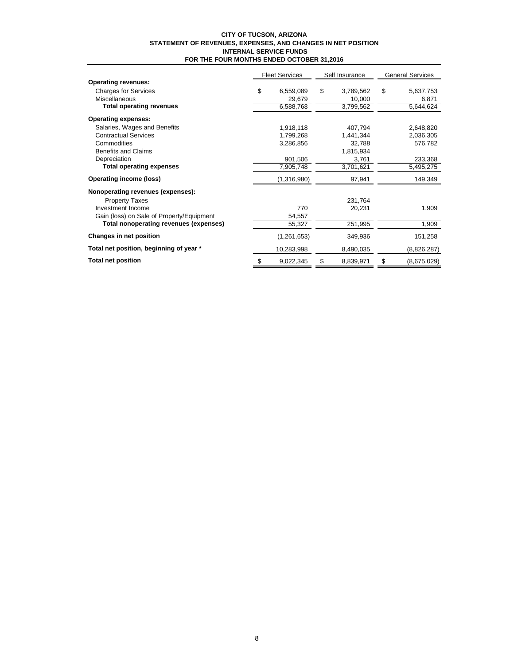#### **CITY OF TUCSON, ARIZONA STATEMENT OF REVENUES, EXPENSES, AND CHANGES IN NET POSITION INTERNAL SERVICE FUNDS FOR THE FOUR MONTHS ENDED OCTOBER 31,2016**

|                                           | <b>Fleet Services</b> |               | Self Insurance  | <b>General Services</b> |             |  |
|-------------------------------------------|-----------------------|---------------|-----------------|-------------------------|-------------|--|
| <b>Operating revenues:</b>                |                       |               |                 |                         |             |  |
| <b>Charges for Services</b>               | \$                    | 6,559,089     | \$<br>3,789,562 | \$                      | 5,637,753   |  |
| <b>Miscellaneous</b>                      |                       | 29,679        | 10,000          |                         | 6,871       |  |
| <b>Total operating revenues</b>           |                       | 6,588,768     | 3,799,562       |                         | 5,644,624   |  |
| <b>Operating expenses:</b>                |                       |               |                 |                         |             |  |
| Salaries, Wages and Benefits              |                       | 1,918,118     | 407,794         |                         | 2,648,820   |  |
| <b>Contractual Services</b>               |                       | 1,799,268     | 1,441,344       |                         | 2,036,305   |  |
| Commodities                               |                       | 3,286,856     | 32,788          |                         | 576,782     |  |
| <b>Benefits and Claims</b>                |                       |               | 1,815,934       |                         |             |  |
| Depreciation                              |                       | 901,506       | 3,761           |                         | 233,368     |  |
| <b>Total operating expenses</b>           |                       | 7,905,748     | 3,701,621       |                         | 5,495,275   |  |
| Operating income (loss)                   |                       | (1,316,980)   | 97,941          |                         | 149,349     |  |
| Nonoperating revenues (expenses):         |                       |               |                 |                         |             |  |
| <b>Property Taxes</b>                     |                       |               | 231,764         |                         |             |  |
| Investment Income                         |                       | 770           | 20,231          |                         | 1,909       |  |
| Gain (loss) on Sale of Property/Equipment |                       | 54,557        |                 |                         |             |  |
| Total nonoperating revenues (expenses)    |                       | 55,327        | 251,995         |                         | 1,909       |  |
| Changes in net position                   |                       | (1, 261, 653) | 349,936         |                         | 151,258     |  |
| Total net position, beginning of year *   |                       | 10,283,998    | 8,490,035       |                         | (8,826,287) |  |
| <b>Total net position</b>                 | \$                    | 9,022,345     | \$<br>8,839,971 | \$                      | (8,675,029) |  |